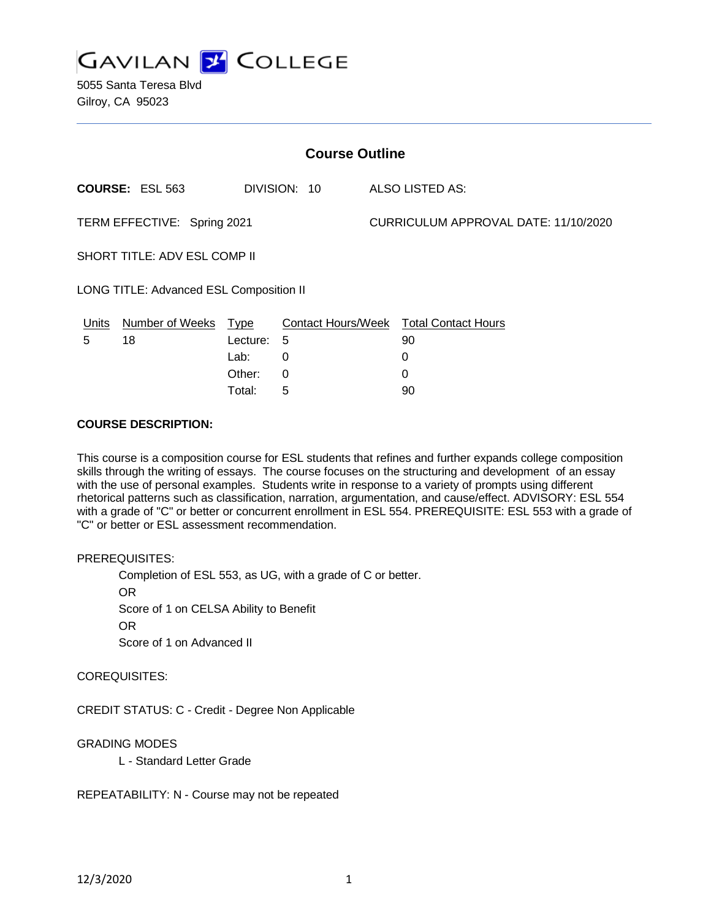

5055 Santa Teresa Blvd Gilroy, CA 95023

| <b>Course Outline</b>                   |                      |          |              |  |                                        |  |
|-----------------------------------------|----------------------|----------|--------------|--|----------------------------------------|--|
|                                         | COURSE: ESL 563      |          | DIVISION: 10 |  | ALSO LISTED AS:                        |  |
| TERM EFFECTIVE: Spring 2021             |                      |          |              |  | CURRICULUM APPROVAL DATE: 11/10/2020   |  |
| SHORT TITLE: ADV ESL COMP II            |                      |          |              |  |                                        |  |
| LONG TITLE: Advanced ESL Composition II |                      |          |              |  |                                        |  |
| Units                                   | Number of Weeks Type |          |              |  | Contact Hours/Week Total Contact Hours |  |
| 5                                       | 18                   | Lecture: | 5            |  | 90                                     |  |
|                                         |                      | Lab:     | 0            |  | 0                                      |  |
|                                         |                      | Other:   | 0            |  | 0                                      |  |

Total: 5 90

### **COURSE DESCRIPTION:**

This course is a composition course for ESL students that refines and further expands college composition skills through the writing of essays. The course focuses on the structuring and development of an essay with the use of personal examples. Students write in response to a variety of prompts using different rhetorical patterns such as classification, narration, argumentation, and cause/effect. ADVISORY: ESL 554 with a grade of "C" or better or concurrent enrollment in ESL 554. PREREQUISITE: ESL 553 with a grade of "C" or better or ESL assessment recommendation.

## PREREQUISITES:

Completion of ESL 553, as UG, with a grade of C or better. OR Score of 1 on CELSA Ability to Benefit OR Score of 1 on Advanced II

### COREQUISITES:

CREDIT STATUS: C - Credit - Degree Non Applicable

## GRADING MODES

L - Standard Letter Grade

REPEATABILITY: N - Course may not be repeated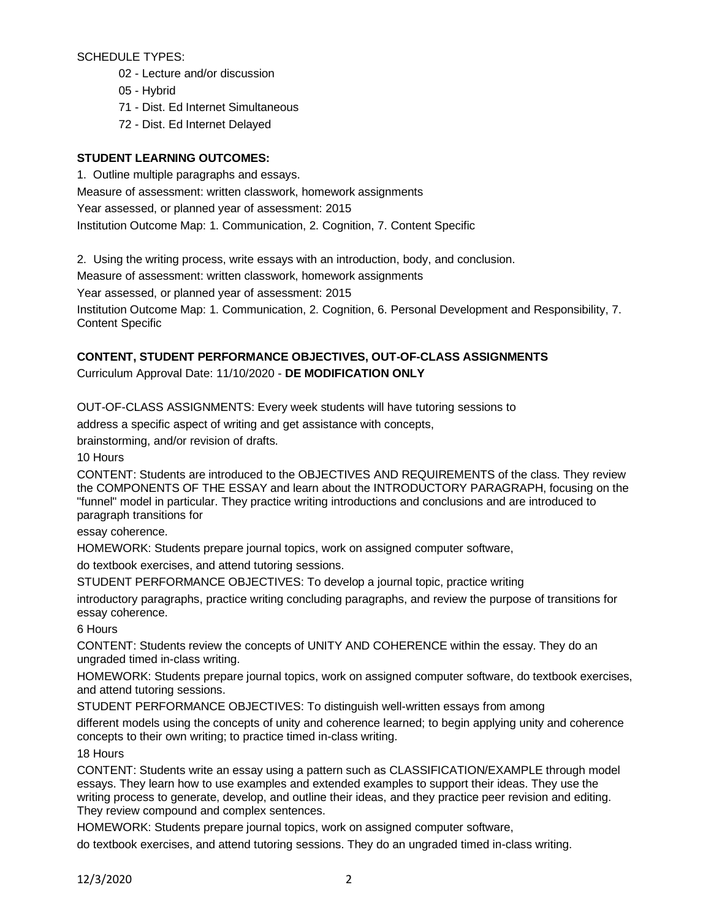SCHEDULE TYPES:

- 02 Lecture and/or discussion
- 05 Hybrid
- 71 Dist. Ed Internet Simultaneous
- 72 Dist. Ed Internet Delayed

## **STUDENT LEARNING OUTCOMES:**

1. Outline multiple paragraphs and essays.

Measure of assessment: written classwork, homework assignments Year assessed, or planned year of assessment: 2015 Institution Outcome Map: 1. Communication, 2. Cognition, 7. Content Specific

2. Using the writing process, write essays with an introduction, body, and conclusion.

Measure of assessment: written classwork, homework assignments

Year assessed, or planned year of assessment: 2015

Institution Outcome Map: 1. Communication, 2. Cognition, 6. Personal Development and Responsibility, 7. Content Specific

# **CONTENT, STUDENT PERFORMANCE OBJECTIVES, OUT-OF-CLASS ASSIGNMENTS**

Curriculum Approval Date: 11/10/2020 - **DE MODIFICATION ONLY**

OUT-OF-CLASS ASSIGNMENTS: Every week students will have tutoring sessions to

address a specific aspect of writing and get assistance with concepts,

brainstorming, and/or revision of drafts.

10 Hours

CONTENT: Students are introduced to the OBJECTIVES AND REQUIREMENTS of the class. They review the COMPONENTS OF THE ESSAY and learn about the INTRODUCTORY PARAGRAPH, focusing on the "funnel" model in particular. They practice writing introductions and conclusions and are introduced to paragraph transitions for

essay coherence.

HOMEWORK: Students prepare journal topics, work on assigned computer software,

do textbook exercises, and attend tutoring sessions.

STUDENT PERFORMANCE OBJECTIVES: To develop a journal topic, practice writing

introductory paragraphs, practice writing concluding paragraphs, and review the purpose of transitions for essay coherence.

6 Hours

CONTENT: Students review the concepts of UNITY AND COHERENCE within the essay. They do an ungraded timed in-class writing.

HOMEWORK: Students prepare journal topics, work on assigned computer software, do textbook exercises, and attend tutoring sessions.

STUDENT PERFORMANCE OBJECTIVES: To distinguish well-written essays from among

different models using the concepts of unity and coherence learned; to begin applying unity and coherence concepts to their own writing; to practice timed in-class writing.

## 18 Hours

CONTENT: Students write an essay using a pattern such as CLASSIFICATION/EXAMPLE through model essays. They learn how to use examples and extended examples to support their ideas. They use the writing process to generate, develop, and outline their ideas, and they practice peer revision and editing. They review compound and complex sentences.

HOMEWORK: Students prepare journal topics, work on assigned computer software,

do textbook exercises, and attend tutoring sessions. They do an ungraded timed in-class writing.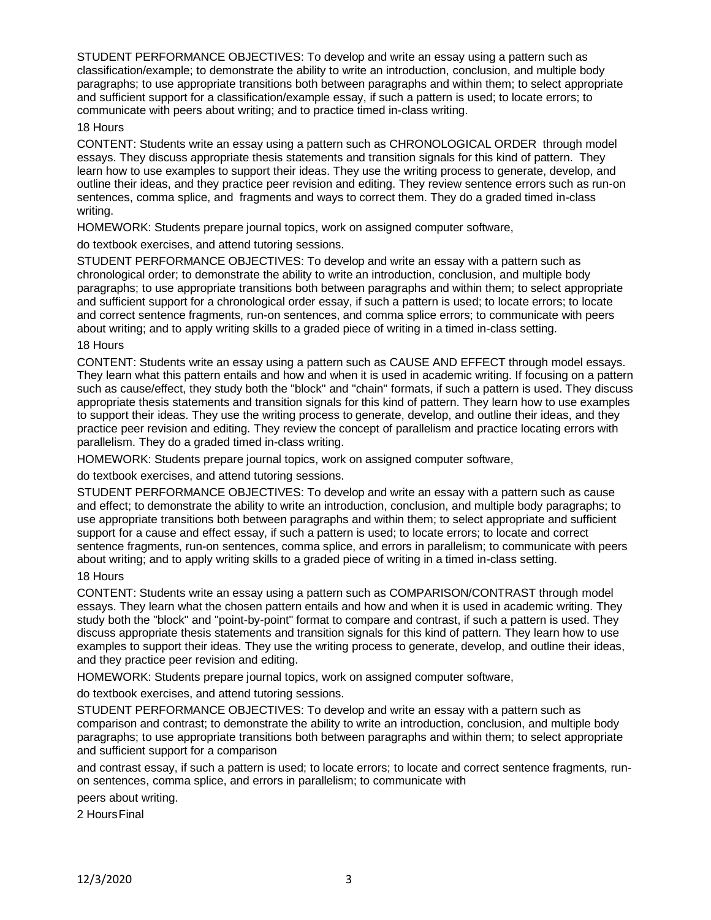STUDENT PERFORMANCE OBJECTIVES: To develop and write an essay using a pattern such as classification/example; to demonstrate the ability to write an introduction, conclusion, and multiple body paragraphs; to use appropriate transitions both between paragraphs and within them; to select appropriate and sufficient support for a classification/example essay, if such a pattern is used; to locate errors; to communicate with peers about writing; and to practice timed in-class writing.

### 18 Hours

CONTENT: Students write an essay using a pattern such as CHRONOLOGICAL ORDER through model essays. They discuss appropriate thesis statements and transition signals for this kind of pattern. They learn how to use examples to support their ideas. They use the writing process to generate, develop, and outline their ideas, and they practice peer revision and editing. They review sentence errors such as run-on sentences, comma splice, and fragments and ways to correct them. They do a graded timed in-class writing.

HOMEWORK: Students prepare journal topics, work on assigned computer software,

## do textbook exercises, and attend tutoring sessions.

STUDENT PERFORMANCE OBJECTIVES: To develop and write an essay with a pattern such as chronological order; to demonstrate the ability to write an introduction, conclusion, and multiple body paragraphs; to use appropriate transitions both between paragraphs and within them; to select appropriate and sufficient support for a chronological order essay, if such a pattern is used; to locate errors; to locate and correct sentence fragments, run-on sentences, and comma splice errors; to communicate with peers about writing; and to apply writing skills to a graded piece of writing in a timed in-class setting.

## 18 Hours

CONTENT: Students write an essay using a pattern such as CAUSE AND EFFECT through model essays. They learn what this pattern entails and how and when it is used in academic writing. If focusing on a pattern such as cause/effect, they study both the "block" and "chain" formats, if such a pattern is used. They discuss appropriate thesis statements and transition signals for this kind of pattern. They learn how to use examples to support their ideas. They use the writing process to generate, develop, and outline their ideas, and they practice peer revision and editing. They review the concept of parallelism and practice locating errors with parallelism. They do a graded timed in-class writing.

HOMEWORK: Students prepare journal topics, work on assigned computer software,

do textbook exercises, and attend tutoring sessions.

STUDENT PERFORMANCE OBJECTIVES: To develop and write an essay with a pattern such as cause and effect; to demonstrate the ability to write an introduction, conclusion, and multiple body paragraphs; to use appropriate transitions both between paragraphs and within them; to select appropriate and sufficient support for a cause and effect essay, if such a pattern is used; to locate errors; to locate and correct sentence fragments, run-on sentences, comma splice, and errors in parallelism; to communicate with peers about writing; and to apply writing skills to a graded piece of writing in a timed in-class setting.

## 18 Hours

CONTENT: Students write an essay using a pattern such as COMPARISON/CONTRAST through model essays. They learn what the chosen pattern entails and how and when it is used in academic writing. They study both the "block" and "point-by-point" format to compare and contrast, if such a pattern is used. They discuss appropriate thesis statements and transition signals for this kind of pattern. They learn how to use examples to support their ideas. They use the writing process to generate, develop, and outline their ideas, and they practice peer revision and editing.

HOMEWORK: Students prepare journal topics, work on assigned computer software,

do textbook exercises, and attend tutoring sessions.

STUDENT PERFORMANCE OBJECTIVES: To develop and write an essay with a pattern such as comparison and contrast; to demonstrate the ability to write an introduction, conclusion, and multiple body paragraphs; to use appropriate transitions both between paragraphs and within them; to select appropriate and sufficient support for a comparison

and contrast essay, if such a pattern is used; to locate errors; to locate and correct sentence fragments, runon sentences, comma splice, and errors in parallelism; to communicate with

peers about writing.

2 HoursFinal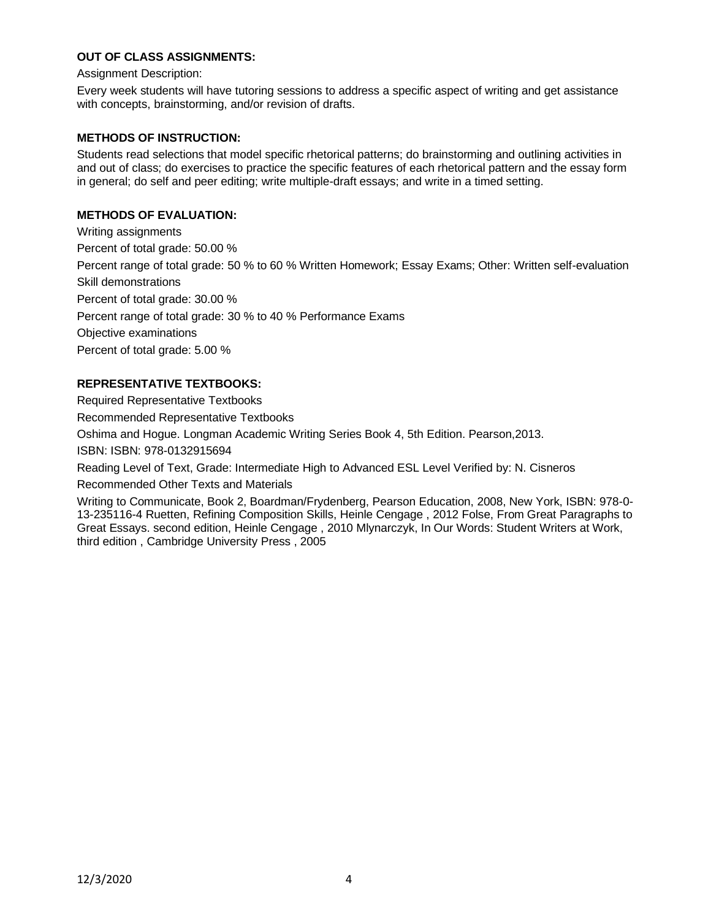## **OUT OF CLASS ASSIGNMENTS:**

Assignment Description:

Every week students will have tutoring sessions to address a specific aspect of writing and get assistance with concepts, brainstorming, and/or revision of drafts.

#### **METHODS OF INSTRUCTION:**

Students read selections that model specific rhetorical patterns; do brainstorming and outlining activities in and out of class; do exercises to practice the specific features of each rhetorical pattern and the essay form in general; do self and peer editing; write multiple-draft essays; and write in a timed setting.

### **METHODS OF EVALUATION:**

Writing assignments Percent of total grade: 50.00 % Percent range of total grade: 50 % to 60 % Written Homework; Essay Exams; Other: Written self-evaluation Skill demonstrations Percent of total grade: 30.00 % Percent range of total grade: 30 % to 40 % Performance Exams Objective examinations Percent of total grade: 5.00 %

## **REPRESENTATIVE TEXTBOOKS:**

Required Representative Textbooks

Recommended Representative Textbooks

Oshima and Hogue. Longman Academic Writing Series Book 4, 5th Edition. Pearson,2013.

ISBN: ISBN: 978-0132915694

Reading Level of Text, Grade: Intermediate High to Advanced ESL Level Verified by: N. Cisneros

Recommended Other Texts and Materials

Writing to Communicate, Book 2, Boardman/Frydenberg, Pearson Education, 2008, New York, ISBN: 978-0- 13-235116-4 Ruetten, Refining Composition Skills, Heinle Cengage , 2012 Folse, From Great Paragraphs to Great Essays. second edition, Heinle Cengage , 2010 Mlynarczyk, In Our Words: Student Writers at Work, third edition , Cambridge University Press , 2005